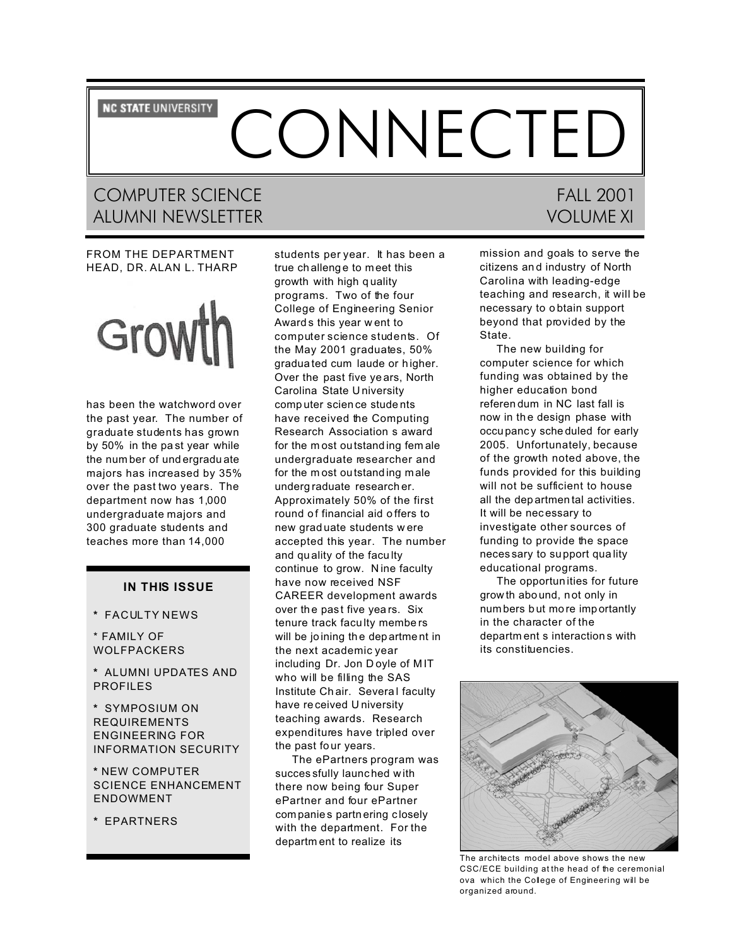#### NC STATE UNIVERSITY

# CONNECTED

# COMPUTER SCIENCE FALL 2001 ALUMNI NEWSLETTER VOLUME XI

FROM THE DEPARTMENT HEAD, DR. ALAN L. THARP

Grow

has been the watchword over the past year. The number of graduate students has grown by 50% in the pa st year while the num ber of undergraduate majors has increased by 35% over the past two years. The department now has 1,000 undergraduate majors and 300 graduate students and teaches more than 14,000

#### **IN THIS ISSUE**

**\*** FACULTY NEWS

\* FAMILY OF WOLFPACKERS

**\*** ALUMNI UPDATES AND PROFILES

**\*** SYMPOSIUM ON REQUIREMENTS ENGINEERING FOR INFORMATION SECURITY

**\*** NEW COMPUTER SCIENCE ENHANCEMENT ENDOWMENT

**\*** EPARTNERS

students per year. It has been a true challenge to meet this growth with high quality programs. Two of the four College of Engineering Senior Awards this year w ent to computer science students. Of the May 2001 graduates, 50% graduated cum laude or higher. Over the past five years, North Carolina State University computer science students have received the Computing Research Association s award for the m ost outstanding fem ale undergraduate researcher and for the m ost outstanding male undergraduate researcher. Approximately 50% of the first round of financial aid offers to new graduate students w ere accepted this year. The number and quality of the faculty continue to grow. Nine faculty have now received NSF CAREER development awards over the past five years. Six tenure track faculty members will be joining the department in the next academic year including Dr. Jon D oyle of MIT who will be filling the SAS Institute Chair. Several faculty have received U niversity teaching awards. Research expenditures have tripled over the past four years.

 The ePartners program was successfully launched with there now being four Super ePartner and four ePartner companies partnering closely with the department. For the departm ent to realize its

mission and goals to serve the citizens and industry of North Carolina with leading-edge teaching and research, it will be necessary to obtain support beyond that provided by the State.

 The new building for computer science for which funding was obtained by the higher education bond referendum in NC last fall is now in the design phase with occupancy scheduled for early 2005. Unfortunately, because of the growth noted above, the funds provided for this building will not be sufficient to house all the departmental activities. It will be necessary to investigate other sources of funding to provide the space necessary to support quality educational programs.

 The opportunities for future growth abound, not only in numbers but more importantly in the character of the departm ent s interaction s with its constituencies.



The architects model above shows the new CSC/ECE building at the head of the ceremonial ova which the College of Engineering will be organized around.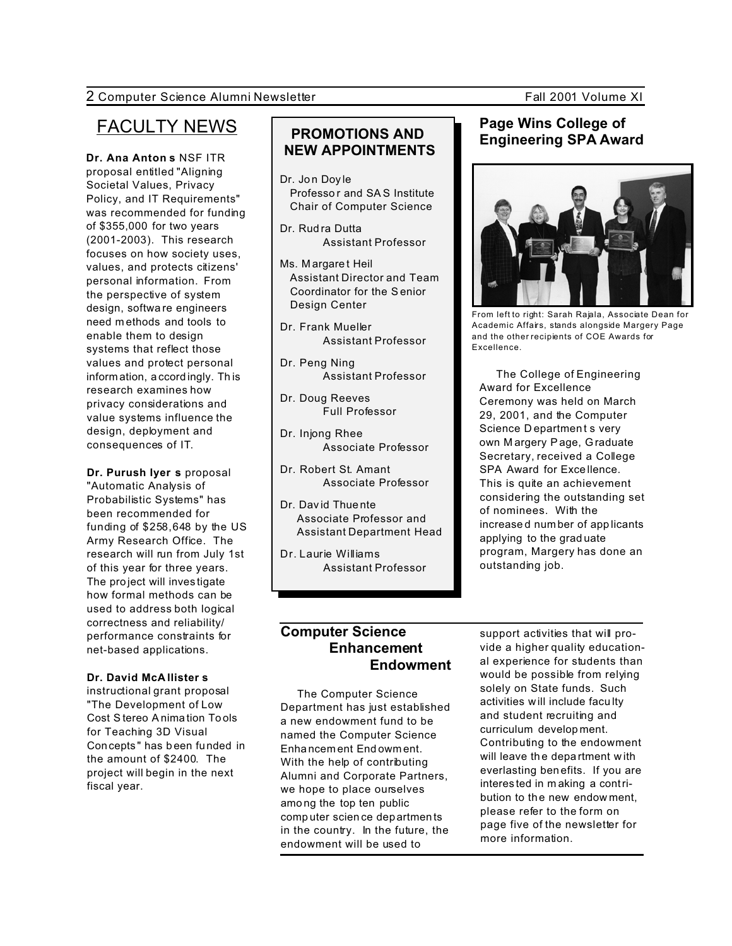2 Computer Science Alumni Newsletter Fall 2001 Volume XI

# FACULTY NEWS

**Dr. Ana Anton s** NSF ITR proposal entitled "Aligning Societal Values, Privacy Policy, and IT Requirements" was recommended for funding of \$355,000 for two years (2001-2003). This research focuses on how society uses, values, and protects citizens' personal information. From the perspective of system design, software engineers need m ethods and tools to enable them to design systems that reflect those values and protect personal information, accordingly. Th is research examines how privacy considerations and value systems influence the design, deployment and consequences of IT.

**Dr. Purush Iyer s** proposal "Automatic Analysis of Probabilistic Systems" has been recommended for funding of \$258,648 by the US Army Research Office. The research will run from July 1st of this year for three years. The project will investigate how formal methods can be used to address both logical correctness and reliability/ performance constraints for net-based applications.

#### **Dr. David McA llister s**

instructional grant proposal "The Development of Low Cost S tereo A nimation Tools for Teaching 3D Visual Concepts" has been funded in the amount of \$2400. The project will begin in the next fiscal year.

#### **PROMOTIONS AND NEW APPOINTMENTS**

- Dr. Jon Doyle Professor and SA S Institute Chair of Computer Science
- Dr. Rudra Dutta Assistant Professor
- Ms. M argaret Heil Assistant Director and Team Coordinator for the Senior Design Center
- Dr. Frank Mueller Assistant Professor
- Dr. Peng Ning Assistant Professor
- Dr. Doug Reeves Full Professor
- Dr. Injong Rhee Associate Professor
- Dr. Robert St. Amant Associate Professor
- Dr. David Thuente Associate Professor and Assistant Department Head
- Dr. Laurie Williams Assistant Professor

### **Page Wins College of Engineering SPA Award**



From left to right: Sarah Rajala, Associate Dean for Academic Affairs, stands alongside Margery Page and the other recipients of COE Awards for Excellence.

 The College of Engineering Award for Excellence Ceremony was held on March 29, 2001, and the Computer Science Department s very own M argery Page, Graduate Secretary, received a College SPA Award for Excellence. This is quite an achievement considering the outstanding set of nominees. With the increased number of applicants applying to the graduate program, Margery has done an outstanding job.

### **Computer Science Enhancement Endowment**

 The Computer Science Department has just established a new endowment fund to be named the Computer Science Enhancement Endowment. With the help of contributing Alumni and Corporate Partners, we hope to place ourselves among the top ten public computer science departments in the country. In the future, the endowment will be used to

support activities that will provide a higher quality educational experience for students than would be possible from relying solely on State funds. Such activities will include faculty and student recruiting and curriculum development. Contributing to the endowment will leave the department with everlasting benefits. If you are interested in m aking a contribution to the new endowment, please refer to the form on page five of the newsletter for more information.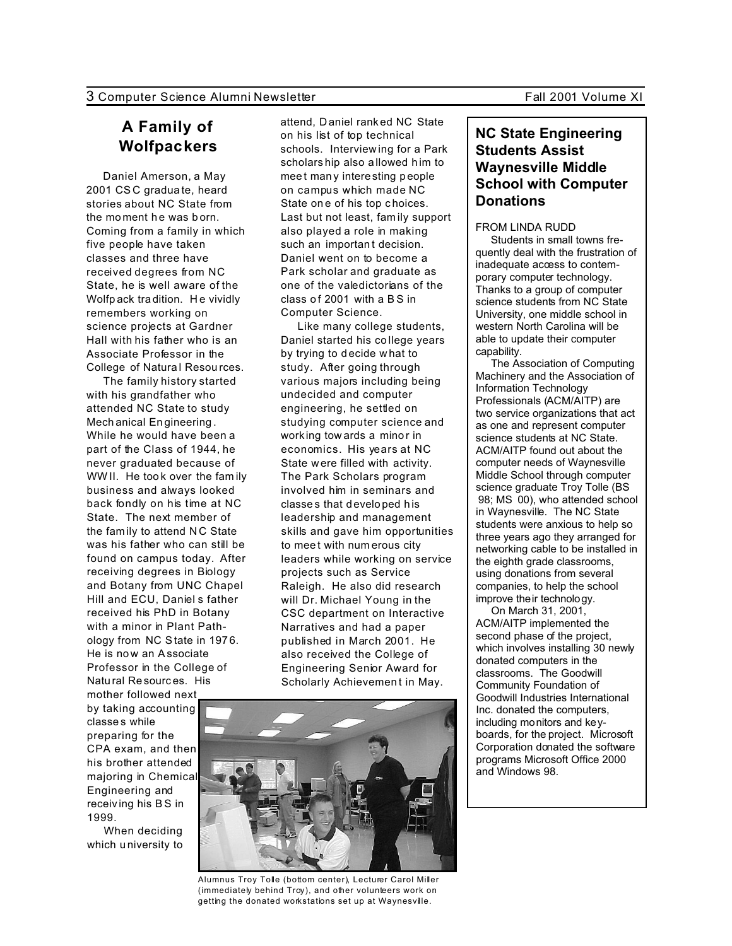# **A Family of Wolfpackers**

 Daniel Amerson, a May 2001 CSC graduate, heard stories about NC State from the moment he was born. Coming from a family in which five people have taken classes and three have received degrees from NC State, he is well aware of the Wolfpack tradition. He vividly remembers working on science projects at Gardner Hall with his father who is an Associate Professor in the College of Natural Resources.

 The family history started with his grandfather who attended NC State to study Mechanical Engineering. While he would have been a part of the Class of 1944, he never graduated because of WW II. He took over the family business and always looked back fondly on his time at NC State. The next member of the family to attend NC State was his father who can still be found on campus today. After receiving degrees in Biology and Botany from UNC Chapel Hill and ECU, Daniel s father received his PhD in Botany with a minor in Plant Pathology from NC State in 1976. He is now an Associate Professor in the College of Natural Resources. His

mother followed next by taking accounting classe s while preparing for the CPA exam, and then his brother attended majoring in Chemical Engineering and receiving his BS in 1999.

 When deciding which university to attend, Daniel ranked NC State on his list of top technical schools. Interviewing for a Park scholarship also allowed him to meet many interesting people on campus which made NC State one of his top choices. Last but not least, family support also played a role in making such an important decision. Daniel went on to become a Park scholar and graduate as one of the valedictorians of the class of 2001 with a BS in Computer Science.

 Like many college students, Daniel started his college years by trying to decide what to study. After going through various majors including being undecided and computer engineering, he settled on studying computer science and working towards a minor in economics. His years at NC State were filled with activity. The Park Scholars program involved him in seminars and classe s that developed his leadership and management skills and gave him opportunities to meet with num erous city leaders while working on service projects such as Service Raleigh. He also did research will Dr. Michael Young in the CSC department on Interactive Narratives and had a paper published in March 2001. He also received the College of Engineering Senior Award for Scholarly Achievement in May.



Alumnus Troy Tolle (bottom center), Lecturer Carol Miller (immediately behind Troy), and other volunteers work on getting the donated workstations set up at Waynesville.

#### **NC State Engineering Students Assist Waynesville Middle School with Computer Donations**

#### FROM LINDA RUDD

 Students in small towns frequently deal with the frustration of inadequate access to contemporary computer technology. Thanks to a group of computer science students from NC State University, one middle school in western North Carolina will be able to update their computer capability.

 The Association of Computing Machinery and the Association of Information Technology Professionals (ACM/AITP) are two service organizations that act as one and represent computer science students at NC State. ACM/AITP found out about the computer needs of Waynesville Middle School through computer science graduate Troy Tolle (BS 98; MS 00), who attended school in Waynesville. The NC State students were anxious to help so three years ago they arranged for networking cable to be installed in the eighth grade classrooms, using donations from several companies, to help the school improve their technology.

 On March 31, 2001, ACM/AITP implemented the second phase of the project, which involves installing 30 newly donated computers in the classrooms. The Goodwill Community Foundation of Goodwill Industries International Inc. donated the computers, including monitors and keyboards, for the project. Microsoft Corporation donated the software programs Microsoft Office 2000 and Windows 98.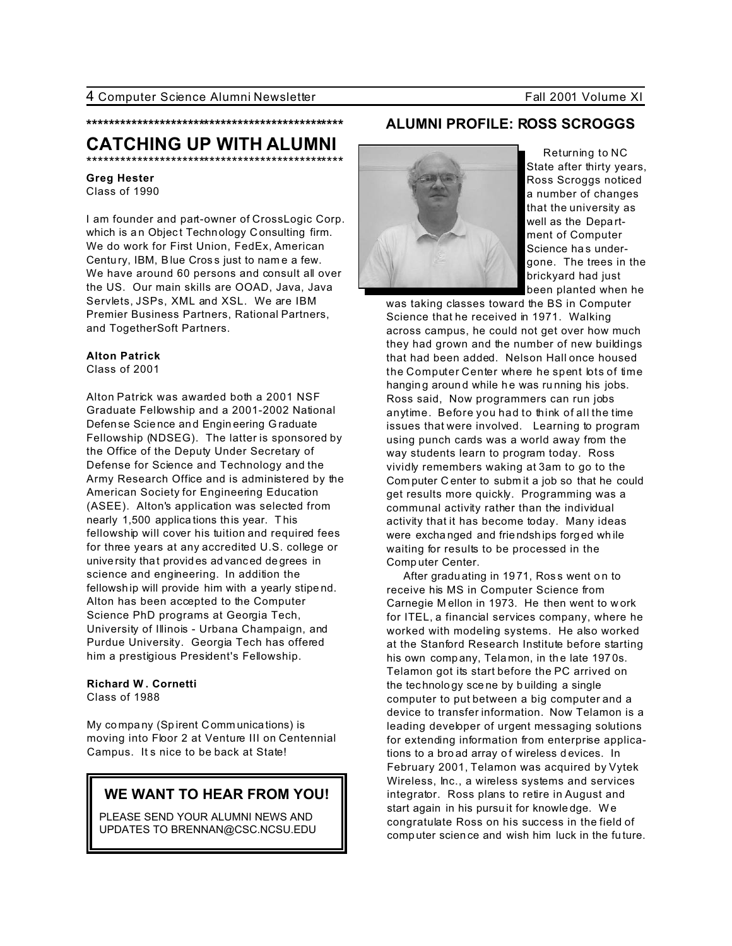**\*\*\*\*\*\*\*\*\*\*\*\*\*\*\*\*\*\*\*\*\*\*\*\*\*\*\*\*\*\*\*\*\*\*\*\*\*\*\*\*\*\*\*\*\*\***

#### **ALUMNI PROFILE: ROSS SCROGGS**

#### **CATCHING UP WITH ALUMNI** \*\*\*\*\*\*\*\*\*\*\*\*\*\*\*\*\*\*\*\*\*\*\*\*\*\*\*\*\*\*\*\*\*\*\*\*\*\*\*\*\*\*\*\*\*\*

#### **Greg Hester** Class of 1990

I am founder and part-owner of CrossLogic Corp. which is an Object Technology Consulting firm. We do work for First Union, FedEx, American Century, IBM, Blue Cross just to nam e a few. We have around 60 persons and consult all over the US. Our main skills are OOAD, Java, Java Servlets, JSPs, XML and XSL. We are IBM Premier Business Partners, Rational Partners, and TogetherSoft Partners.

#### **Alton Patrick**

Class of 2001

Alton Patrick was awarded both a 2001 NSF Graduate Fellowship and a 2001-2002 National Defense Science and Engineering Graduate Fellowship (NDSEG). The latter is sponsored by the Office of the Deputy Under Secretary of Defense for Science and Technology and the Army Research Office and is administered by the American Society for Engineering Education (ASEE). Alton's application was selected from nearly 1,500 applica tions this year. This fellowship will cover his tuition and required fees for three years at any accredited U.S. college or university that provides advanced degrees in science and engineering. In addition the fellowship will provide him with a yearly stipend. Alton has been accepted to the Computer Science PhD programs at Georgia Tech, University of Illinois - Urbana Champaign, and Purdue University. Georgia Tech has offered him a prestigious President's Fellowship.

#### **Richard W . Cornetti**

Class of 1988

My company (Spirent Comm unications) is moving into Floor 2 at Venture III on Centennial Campus. It s nice to be back at State!

## **WE WANT TO HEAR FROM YOU!**

PLEASE SEND YOUR ALUMNI NEWS AND UPDATES TO BRENNAN@CSC.NCSU.EDU



 Returning to NC State after thirty years, Ross Scroggs noticed a number of changes that the university as well as the Department of Computer Science has undergone. The trees in the brickyard had just been planted when he

was taking classes toward the BS in Computer Science that he received in 1971. Walking across campus, he could not get over how much they had grown and the number of new buildings that had been added. Nelson Hall once housed the Computer Center where he spent lots of time hanging around while he was running his jobs. Ross said, Now programmers can run jobs anytime. Before you had to think of all the time issues that were involved. Learning to program using punch cards was a world away from the way students learn to program today. Ross vividly remembers waking at 3am to go to the Com puter C enter to subm it a job so that he could get results more quickly. Programming was a communal activity rather than the individual activity that it has become today. Many ideas were excha nged and friendships forged while waiting for results to be processed in the Computer Center.

 After graduating in 1971, Ross went on to receive his MS in Computer Science from Carnegie M ellon in 1973. He then went to work for ITEL, a financial services company, where he worked with modeling systems. He also worked at the Stanford Research Institute before starting his own company, Telamon, in the late 1970s. Telamon got its start before the PC arrived on the technology scene by building a single computer to put between a big computer and a device to transfer information. Now Telamon is a leading developer of urgent messaging solutions for extending information from enterprise applications to a broad array of wireless devices. In February 2001, Telamon was acquired by Vytek Wireless, Inc., a wireless systems and services integrator. Ross plans to retire in August and start again in his pursuit for knowledge. We congratulate Ross on his success in the field of computer science and wish him luck in the future.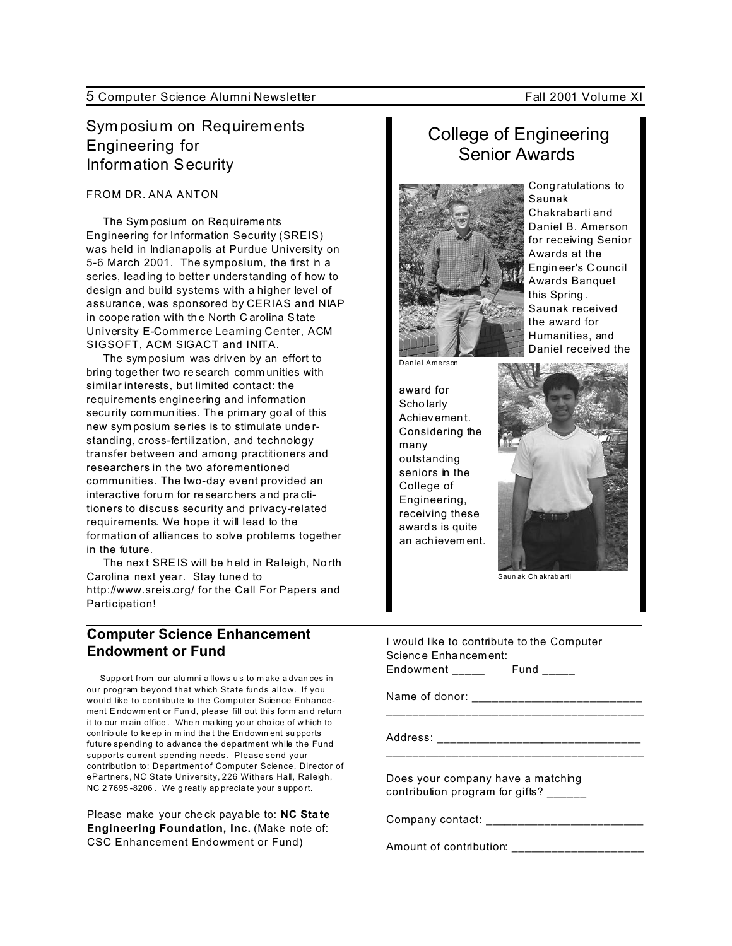## Symposium on Requirements Engineering for Information Security

#### FROM DR. ANA ANTON

 The Sym posium on Requirements Engineering for Information Security (SREIS) was held in Indianapolis at Purdue University on 5-6 March 2001. The symposium, the first in a series, leading to better understanding of how to design and build systems with a higher level of assurance, was sponsored by CERIAS and NIAP in cooperation with the North C arolina State University E-Commerce Learning Center, ACM SIGSOFT, ACM SIGACT and INITA.

 The symposium was driven by an effort to bring together two research comm unities with similar interests, but limited contact: the requirements engineering and information security com munities. The primary goal of this new symposium series is to stimulate understanding, cross-fertilization, and technology transfer between and among practitioners and researchers in the two aforementioned communities. The two-day event provided an interactive forum for researchers and practitioners to discuss security and privacy-related requirements. We hope it will lead to the formation of alliances to solve problems together in the future.

 The next SREIS will be held in Raleigh, North Carolina next year. Stay tuned to http://www.sreis.org/ for the Call For Papers and Participation!

#### **Computer Science Enhancement Endowment or Fund**

 Supp ort from our alu mni a llows u s to m ake a dvan ces in our program beyond that which State funds allow. If you would like to contribute to the Computer Science Enhancement E ndowm ent or Fun d, please fill out this form an d return it to our m ain office . Whe n ma king yo ur cho ice of w hich to contrib ute to ke ep in m ind tha t the En dowm ent su pports future spending to advance the department while the Fund supports current spending needs. Please send your contribution to: Department of Computer Science, Director of ePartners, NC State University, 226 Withers Hall, Raleigh, NC 2 7695 -8206 . We g reatly ap precia te your s uppo rt.

Please make your check payable to: **NC State Engineering Foundation, Inc.** (Make note of: CSC Enhancement Endowment or Fund)

# College of Engineering Senior Awards



Congratulations to Saunak Chakrabarti and Daniel B. Amerson for receiving Senior Awards at the Engineer's Council Awards Banquet this Spring. Saunak received the award for Humanities, and Daniel received the

Daniel Amerson

award for **Scholarly** Achievement. Considering the many outstanding seniors in the College of Engineering, receiving these awards is quite an achievement.



Saun ak Ch akrab arti

I would like to contribute to the Computer Science Enhancement: Endowment \_\_\_\_\_ Fund \_\_\_\_\_

\_\_\_\_\_\_\_\_\_\_\_\_\_\_\_\_\_\_\_\_\_\_\_\_\_\_\_\_\_\_\_\_\_\_\_\_\_\_\_

\_\_\_\_\_\_\_\_\_\_\_\_\_\_\_\_\_\_\_\_\_\_\_\_\_\_\_\_\_\_\_\_\_\_\_\_\_\_\_

Name of donor: \_\_\_\_\_\_\_\_\_\_\_\_\_\_\_\_\_\_\_\_\_\_\_\_\_\_

Address: \_\_\_\_\_\_\_\_\_\_\_\_\_\_\_\_\_\_\_\_\_\_\_\_\_\_\_\_\_\_\_

Does your company have a matching contribution program for gifts?

Company contact: \_\_\_\_\_\_\_\_\_\_\_\_\_\_\_\_\_\_\_\_\_\_\_\_

Amount of contribution: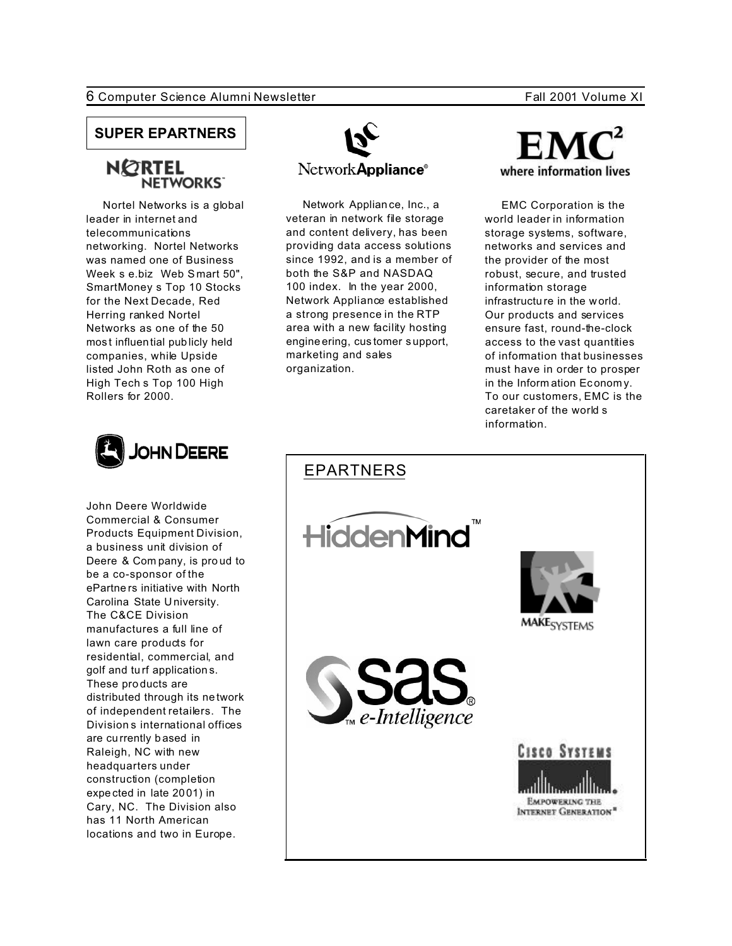#### **SUPER EPARTNERS**

#### **NORTEL NETWORKS**

 Nortel Networks is a global leader in internet and telecommunications networking. Nortel Networks was named one of Business Week s e.biz Web Smart 50", SmartMoney s Top 10 Stocks for the Next Decade, Red Herring ranked Nortel Networks as one of the 50 most influential publicly held companies, while Upside listed John Roth as one of High Tech s Top 100 High Rollers for 2000.



John Deere Worldwide Commercial & Consumer Products Equipment Division, a business unit division of Deere & Com pany, is proud to be a co-sponsor of the ePartners initiative with North Carolina State University. The C&CE Division manufactures a full line of lawn care products for residential, commercial, and golf and turf applications. These products are distributed through its network of independent retailers. The Division s international offices are currently based in Raleigh, NC with new headquarters under construction (completion expected in late 2001) in Cary, NC. The Division also has 11 North American locations and two in Europe.

Network**Appliance**®

 Network Appliance, Inc., a veteran in network file storage and content delivery, has been providing data access solutions since 1992, and is a member of both the S&P and NASDAQ 100 index. In the year 2000, Network Appliance established a strong presence in the RTP area with a new facility hosting engineering, customer support, marketing and sales organization.



 EMC Corporation is the world leader in information storage systems, software, networks and services and the provider of the most robust, secure, and trusted information storage infrastructure in the world. Our products and services ensure fast, round-the-clock access to the vast quantities of information that businesses must have in order to prosper in the Inform ation Economy. To our customers, EMC is the caretaker of the world s information.

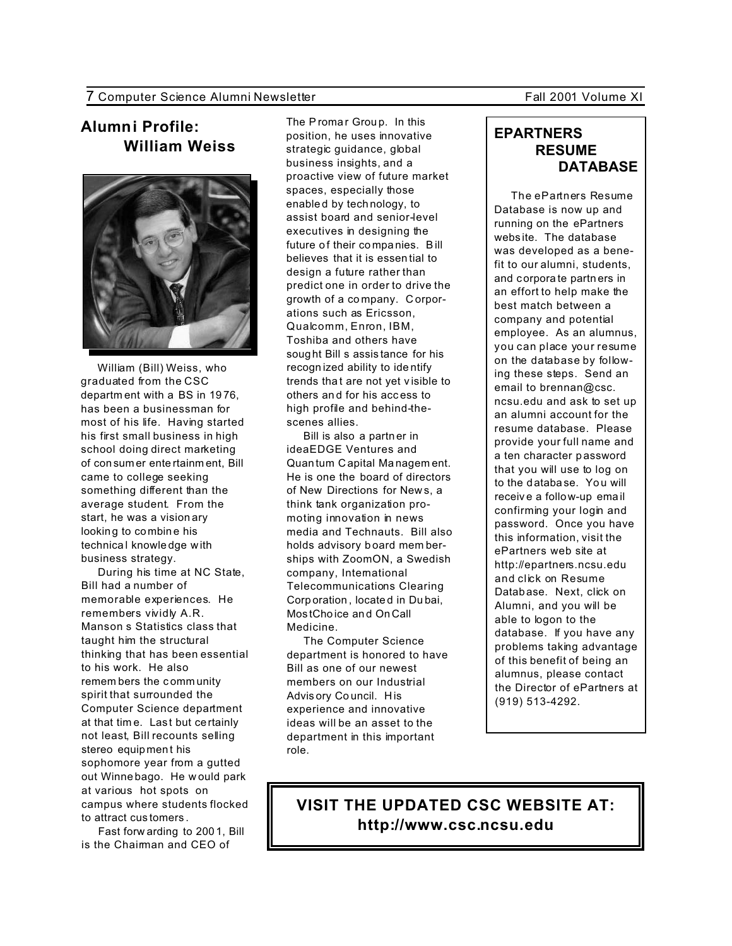# **Alumni Profile: William Weiss**



 William (Bill) Weiss, who graduated from the CSC departm ent with a BS in 1976, has been a businessman for most of his life. Having started his first small business in high school doing direct marketing of consumer entertainment, Bill came to college seeking something different than the average student. From the start, he was a visionary looking to combine his technical knowledge with business strategy.

 During his time at NC State, Bill had a number of memorable experiences. He remembers vividly A.R. Manson s Statistics class that taught him the structural thinking that has been essential to his work. He also remem bers the community spirit that surrounded the Computer Science department at that tim e. Last but certainly not least, Bill recounts selling stereo equipment his sophomore year from a gutted out Winnebago. He would park at various hot spots on campus where students flocked to attract customers.

 Fast forw arding to 2001, Bill is the Chaiman and CEO of

The Promar Group. In this position, he uses innovative strategic guidance, global business insights, and a proactive view of future market spaces, especially those enabled by technology, to assist board and senior-level executives in designing the future of their companies. Bill believes that it is essential to design a future rather than predict one in order to drive the growth of a company. Corporations such as Ericsson, Qualcomm, Enron, IBM, Toshiba and others have sought Bill s assistance for his recognized ability to identify trends that are not yet visible to others and for his access to high profile and behind-thescenes allies.

 Bill is also a partner in ideaEDGE Ventures and Quantum Capital Managem ent. He is one the board of directors of New Directions for News, a think tank organization promoting innovation in news media and Technauts. Bill also holds advisory board mem berships with ZoomON, a Swedish company, Intemational Telecommunications Clearing Corporation, located in Dubai, MostChoice and OnCall Medicine.

 The Computer Science department is honored to have Bill as one of our newest members on our Industrial Advisory Council. His experience and innovative ideas will be an asset to the department in this important role.

### **EPARTNERS RESUME DATABASE**

 The ePartners Resume Database is now up and running on the ePartners website. The database was developed as a benefit to our alumni, students, and corporate partners in an effort to help make the best match between a company and potential employee. As an alumnus, you can place your resume on the database by following these steps. Send an email to brennan@csc. ncsu.edu and ask to set up an alumni account for the resume database. Please provide your full name and a ten character password that you will use to log on to the database. You will receive a follow-up email confirming your login and password. Once you have this information, visit the ePartners web site at http://epartners.ncsu.edu and click on Resume Database. Next, click on Alumni, and you will be able to logon to the database. If you have any problems taking advantage of this benefit of being an alumnus, please contact the Director of ePartners at (919) 513-4292.

# **VISIT THE UPDATED CSC WEBSITE AT: http://www.csc.ncsu.edu**